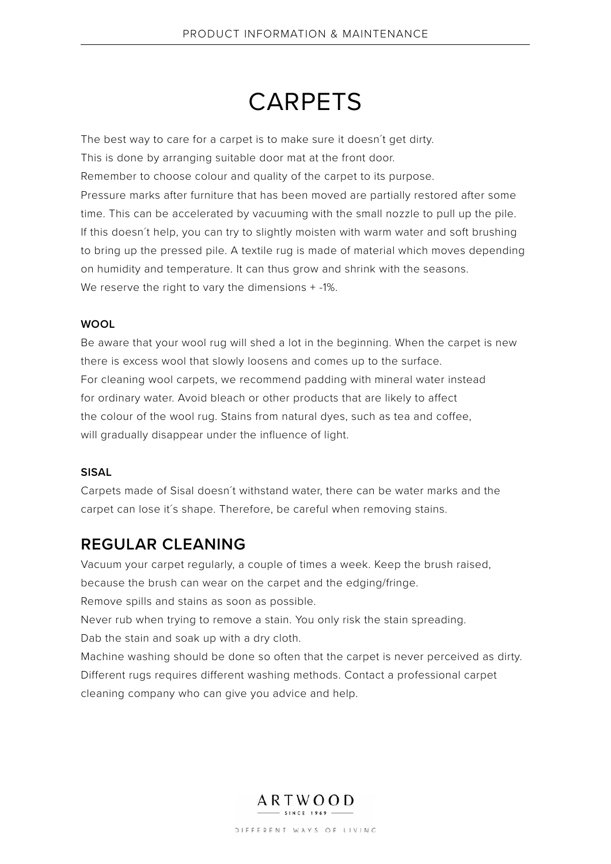# **CARPETS**

The best way to care for a carpet is to make sure it doesn´t get dirty.

This is done by arranging suitable door mat at the front door.

Remember to choose colour and quality of the carpet to its purpose.

Pressure marks after furniture that has been moved are partially restored after some time. This can be accelerated by vacuuming with the small nozzle to pull up the pile. If this doesn´t help, you can try to slightly moisten with warm water and soft brushing to bring up the pressed pile. A textile rug is made of material which moves depending on humidity and temperature. It can thus grow and shrink with the seasons. We reserve the right to vary the dimensions + -1%.

## **WOOL**

Be aware that your wool rug will shed a lot in the beginning. When the carpet is new there is excess wool that slowly loosens and comes up to the surface. For cleaning wool carpets, we recommend padding with mineral water instead for ordinary water. Avoid bleach or other products that are likely to affect the colour of the wool rug. Stains from natural dyes, such as tea and coffee, will gradually disappear under the influence of light.

## **SISAL**

Carpets made of Sisal doesn´t withstand water, there can be water marks and the carpet can lose it´s shape. Therefore, be careful when removing stains.

## **REGULAR CLEANING**

Vacuum your carpet regularly, a couple of times a week. Keep the brush raised,

because the brush can wear on the carpet and the edging/fringe.

Remove spills and stains as soon as possible.

Never rub when trying to remove a stain. You only risk the stain spreading.

Dab the stain and soak up with a dry cloth.

Machine washing should be done so often that the carpet is never perceived as dirty. Different rugs requires different washing methods. Contact a professional carpet cleaning company who can give you advice and help.



DIFFERENT WAYS OF LIVING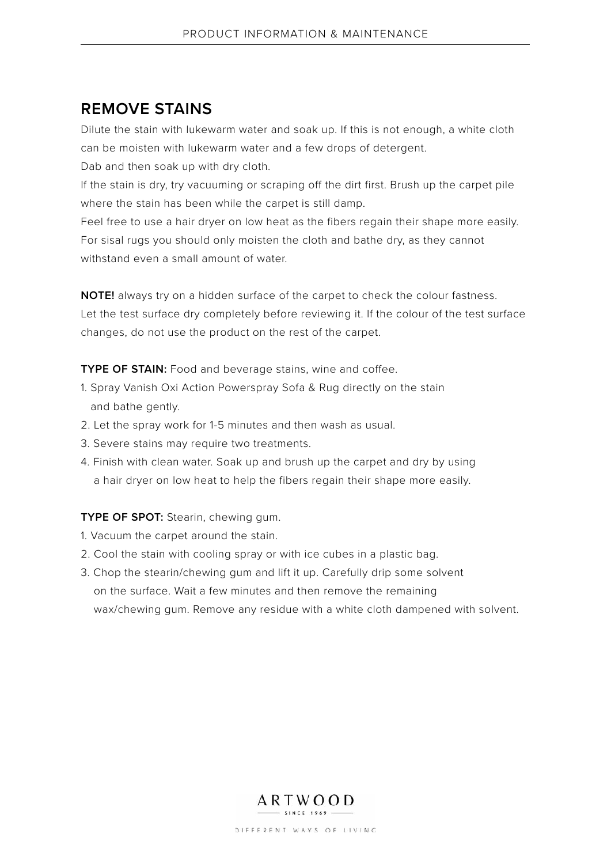## **REMOVE STAINS**

Dilute the stain with lukewarm water and soak up. If this is not enough, a white cloth can be moisten with lukewarm water and a few drops of detergent.

Dab and then soak up with dry cloth.

If the stain is dry, try vacuuming or scraping off the dirt first. Brush up the carpet pile where the stain has been while the carpet is still damp.

Feel free to use a hair dryer on low heat as the fibers regain their shape more easily. For sisal rugs you should only moisten the cloth and bathe dry, as they cannot withstand even a small amount of water.

**NOTE!** always try on a hidden surface of the carpet to check the colour fastness. Let the test surface dry completely before reviewing it. If the colour of the test surface changes, do not use the product on the rest of the carpet.

**TYPE OF STAIN:** Food and beverage stains, wine and coffee.

- 1. Spray Vanish Oxi Action Powerspray Sofa & Rug directly on the stain and bathe gently.
- 2. Let the spray work for 1-5 minutes and then wash as usual.
- 3. Severe stains may require two treatments.
- 4. Finish with clean water. Soak up and brush up the carpet and dry by using a hair dryer on low heat to help the fibers regain their shape more easily.

## **TYPE OF SPOT:** Stearin, chewing gum.

- 1. Vacuum the carpet around the stain.
- 2. Cool the stain with cooling spray or with ice cubes in a plastic bag.
- 3. Chop the stearin/chewing gum and lift it up. Carefully drip some solvent on the surface. Wait a few minutes and then remove the remaining wax/chewing gum. Remove any residue with a white cloth dampened with solvent.



DIFFERENT WAYS OF LIVING